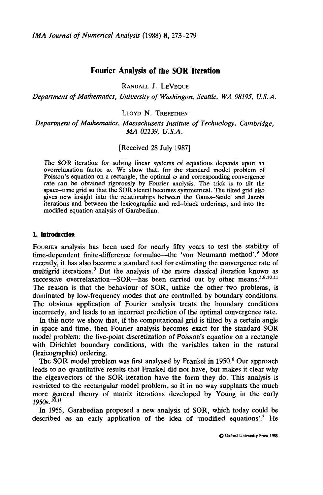# **Fourier Analysis of the SOR Iteration**

RANDALL J. LEVEQUE

*Department of Mathematics, University of Washingon, Seattle, WA 98195, U.S.A.*

LLOYD N. TREFETHEN

*Department of Mathematics, Massachusetts Institute of Technology, Cambridge, MA 02139, U.S.A.*

[Received 28 July 1987]

The SOR iteration for solving linear systems of equations depends upon an overrelaxation factor *co.* We show that, for the standard model problem of Poisson's equation on a rectangle, the optimal  $\omega$  and corresponding convergence rate can be obtained rigorously by Fourier analysis. The trick is to tilt the space-time grid so that the SOR stencil becomes symmetrical. The tilted grid also gives new insight into the relationships between the Gauss-Seidel and Jacobi iterations and between the lexicographic and red-black orderings, and into the modified equation analysis of Garabedian.

### 1. Introduction

FOURIER analysis has been used for nearly fifty years to test the stability of time-dependent finite-difference formulae—the 'von Neumann method'.<sup>9</sup> More recently, it has also become a standard tool for estimating the convergence rate of multigrid iterations.<sup>3</sup> But the analysis of the more classical iteration known as successive overrelaxation—SOR—has been carried out by other means.<sup>5,6,10,11</sup> The reason is that the behaviour of SOR, unlike the other two problems, is dominated by low-frequency modes that are controlled by boundary conditions. The obvious application of Fourier analysis treats the boundary conditions incorrectly, and leads to an incorrect prediction of the optimal convergence rate.

In this note we show that, if the computational grid is tilted by a certain angle in space and time, then Fourier analysis becomes exact for the standard SOR model problem: the five-point discretization of Poisson's equation on a rectangle with Dirichlet boundary conditions, with the variables taken in the natural (lexicographic) ordering.

The SOR model problem was first analysed by Frankel in 1950.<sup>6</sup> Our approach leads to no quantitative results that Frankel did not have, but makes it clear why the eigenvectors of the SOR iteration have the form they do. This analysis is restricted to the rectangular model problem, so it in no way supplants the much more general theory of matrix iterations developed by Young in the early  $1950s.$ <sup>10,11</sup>

hi 1956, Garabedian proposed a new analysis of SOR, which today could be described as an early application of the idea of 'modified equations'.<sup>7</sup> He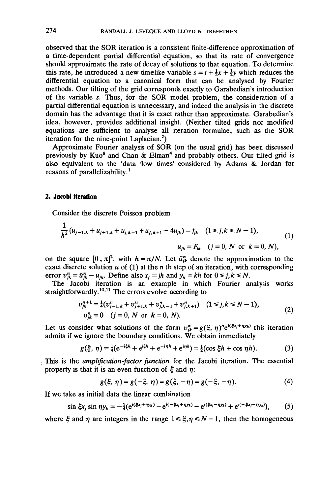observed that the SOR iteration is a consistent finite-difference approximation of a time-dependent partial differential equation, so that its rate of convergence should approximate the rate of decay of solutions to that equation. To determine this rate, he introduced a new timelike variable  $s = t + \frac{1}{2}x + \frac{1}{2}y$  which reduces the differential equation to a canonical form that can be analysed by Fourier methods. Our tilting of the grid corresponds exactly to Garabedian's introduction of the variable *s.* Thus, for the SOR model problem, the consideration of a partial differential equation is unnecessary, and indeed the analysis in the discrete domain has the advantage that it is exact rather than approximate. Garabedian's idea, however, provides additional insight. (Neither tilted grids nor modified equations are sufficient to analyse all iteration formulae, such as the SOR iteration for the nine-point Laplacian.<sup>2</sup>)

Approximate Fourier analysis of SOR (on the usual grid) has been discussed previously by Kuo<sup>8</sup> and Chan & Elman<sup>4</sup> and probably others. Our tilted grid is also equivalent to the 'data flow times' considered by Adams & Jordan for reasons of parallelizability.<sup>1</sup>

## 2. Jacob! iteration

Consider the discrete Poisson problem

$$
\frac{1}{h^2} (u_{j-1,k} + u_{j+1,k} + u_{j,k-1} + u_{j,k+1} - 4u_{jk}) = f_{jk} \quad (1 \le j,k \le N-1),
$$
  

$$
u_{jk} = F_{ik} \quad (j = 0, N \text{ or } k = 0, N),
$$
 (1)

on the square  $[0, \pi]^2$ , with  $h = \pi/N$ . Let  $\bar{u}_{jk}^n$  denote the approximation to the exact discrete solution *u* of (1) at the *n* th step of an iteration, with corresponding error  $v_{ik}^n = \tilde{u}_{ik}^n - u_{ik}$ . Define also  $x_i = jh$  and  $y_k = kh$  for  $0 \le j, k \le N$ .

The Jacobi iteration is an example in which Fourier analysis works straightforwardly.<sup>10,11</sup> The errors evolve according to

$$
v_{jk}^{n+1} = \frac{1}{4} (v_{j-1,k}^n + v_{j+1,k}^n + v_{j,k-1}^n + v_{j,k+1}^n) \quad (1 \le j,k \le N-1),
$$
  
\n
$$
v_{jk}^n = 0 \quad (j = 0, N \text{ or } k = 0, N).
$$
 (2)

Let us consider what solutions of the form  $v_{jk}^n = g(\xi, \eta)^n e^{i(\xi x_j + \eta y_k)}$  this iteration admits if we ignore the boundary conditions. We obtain immediately

$$
g(\xi, \eta) = \frac{1}{4} (e^{-i\xi h} + e^{i\xi h} + e^{-i\eta h} + e^{i\eta h}) = \frac{1}{2} (\cos \xi h + \cos \eta h). \tag{3}
$$

This is the *amplification-factor function* for the Jacobi iteration. The essential property is that it is an even function of  $\xi$  and  $\eta$ :

$$
g(\xi, \eta) = g(-\xi, \eta) = g(\xi, -\eta) = g(-\xi, -\eta). \tag{4}
$$

If we take as initial data the linear combination

$$
\sin \xi x_j \sin \eta y_k = -\frac{1}{4} (e^{i(\xi x_j + \eta y_k)} - e^{i(-\xi x_j + \eta y_k)} - e^{i(\xi x_j - \eta y_k)} + e^{i(-\xi x_j - \eta y_k)}), \quad (5)
$$

where  $\xi$  and  $\eta$  are integers in the range  $1 \leq \xi, \eta \leq N-1$ , then the homogeneous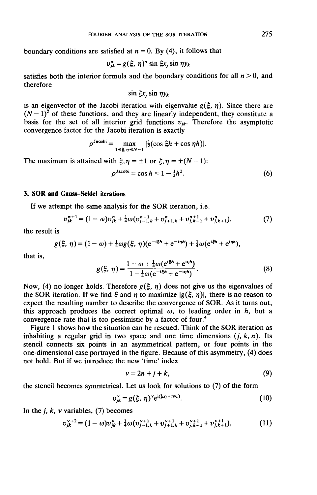boundary conditions are satisfied at  $n = 0$ . By (4), it follows that

$$
v_{jk}^{n} = g(\xi, \eta)^{n} \sin \xi x_{j} \sin \eta y_{k}
$$

satisfies both the interior formula and the boundary conditions for all  $n > 0$ , and therefore

$$
\sin \xi x_j \sin \eta y_k
$$

is an eigenvector of the Jacobi iteration with eigenvalue  $g(\xi, \eta)$ . Since there are  $(N-1)^2$  of these functions, and they are linearly independent, they constitute a basis for the set of all interior grid functions  $v_{jk}$ . Therefore the asymptotic convergence factor for the Jacobi iteration is exactly

$$
\rho^{\text{Jacobi}} = \max_{1 \leq \xi, \eta \leq N-1} |\frac{1}{2}(\cos \xi h + \cos \eta h)|.
$$

The maximum is attained with  $\xi, \eta = \pm 1$  or  $\xi, \eta = \pm (N - 1)$ :

$$
\rho^{\text{Jacobi}} = \cos h \approx 1 - \frac{1}{2}h^2. \tag{6}
$$

## 3. SOR **and** Gauss-Seidel iterations

If we attempt the same analysis for the SOR iteration, i.e.

$$
v_{jk}^{n+1} = (1 - \omega)v_{jk}^n + \frac{1}{4}\omega(v_{j-1,k}^{n+1} + v_{j+1,k}^n + v_{j,k-1}^{n+1} + v_{j,k+1}^n),
$$
\n(7)

the result is

$$
g(\xi, \eta) = (1 - \omega) + \frac{1}{4} \omega g(\xi, \eta) (e^{-i\xi h} + e^{-i\eta h}) + \frac{1}{4} \omega (e^{i\xi h} + e^{i\eta h}),
$$

that is,

$$
g(\xi, \eta) = \frac{1 - \omega + \frac{1}{4}\omega(e^{i\xi h} + e^{i\eta h})}{1 - \frac{1}{4}\omega(e^{-i\xi h} + e^{-i\eta h})}.
$$
 (8)

Now, (4) no longer holds. Therefore  $g(\xi, \eta)$  does not give us the eigenvalues of the SOR iteration. If we find  $\xi$  and  $\eta$  to maximize  $|g(\xi, \eta)|$ , there is no reason to expect the resulting number to describe the convergence of SOR. As it turns out, this approach produces the correct optimal  $\omega$ , to leading order in  $h$ , but a convergence rate that is too pessimistic by a factor of four.<sup>4</sup>

Figure 1 shows how the situation can be rescued. Think of the SOR iteration as inhabiting a regular grid in two space and one time dimensions  $(i, k, n)$ . Its stencil connects six points in an asymmetrical pattern, or four points in the one-dimensional case portrayed in the figure. Because of this asymmetry, (4) does not hold. But if we introduce the new 'time' index

$$
v = 2n + j + k,\tag{9}
$$

the stencil becomes symmetrical. Let us look for solutions to (7) of the form

$$
v_{jk}^{\mathbf{v}} = g(\xi, \eta)^{\mathbf{v}} e^{i(\xi x_j + \eta y_k)}.
$$
 (10)

In the  $j$ ,  $k$ ,  $v$  variables, (7) becomes

$$
v_{jk}^{\nu+2} = (1 - \omega)v_{jk}^{\nu} + \frac{1}{4}\omega(v_{j-1,k}^{\nu+1} + v_{j+1,k}^{\nu+1} + v_{j,k-1}^{\nu+1} + v_{j,k+1}^{\nu+1}),
$$
(11)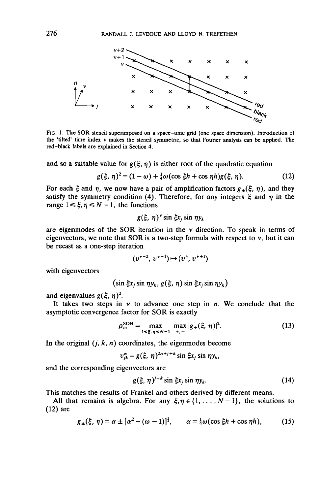

FIG. 1. The SOR stencil superimposed on a space-time grid (one space dimension). Introduction of the 'tilted' time index v makes the stencil symmetric, so that Fourier analysis can be applied. The red-black labels are explained in Section 4.

and so a suitable value for  $g(\xi, \eta)$  is either root of the quadratic equation

$$
g(\xi, \eta)^2 = (1 - \omega) + \frac{1}{4}\omega(\cos \xi h + \cos \eta h)g(\xi, \eta). \tag{12}
$$

For each  $\xi$  and  $\eta$ , we now have a pair of amplification factors  $g_{\pm}(\xi, \eta)$ , and they satisfy the symmetry condition (4). Therefore, for any integers  $\xi$  and  $\eta$  in the range  $1 \le \xi, \eta \le N-1$ , the functions

$$
g(\xi, \eta)^{\nu} \sin \xi x_j \sin \eta y_k
$$

are eigenmodes of the SOR iteration in the  $\nu$  direction. To speak in terms of eigenvectors, we note that SOR is a two-step formula with respect to  $v$ , but it can be recast as a one-step iteration

$$
(v^{v-2}, v^{v-1}) \mapsto (v^{v}, v^{v+1})
$$

with eigenvectors

$$
(\sin \xi x_j \sin \eta y_k, g(\xi, \eta) \sin \xi x_j \sin \eta y_k)
$$

and eigenvalues  $g(\xi, \eta)^2$ .

It takes two steps in  $v$  to advance one step in  $n$ . We conclude that the asymptotic convergence factor for SOR is exactly

$$
\rho_{\omega}^{\text{SOR}} = \max_{1 \leq \xi, \, \eta \leq N-1} \max_{+, -} |g_{\pm}(\xi, \, \eta)|^2. \tag{13}
$$

In the original  $(j, k, n)$  coordinates, the eigenmodes become

$$
v_{jk}^{n} = g(\xi, \eta)^{2n+j+k} \sin \xi x_{j} \sin \eta y_{k},
$$

and the corresponding eigenvectors are

$$
g(\xi, \eta)^{j+k} \sin \xi x_j \sin \eta y_k. \tag{14}
$$

This matches the results of Frankel and others derived by different means.

All that remains is algebra. For any  $\xi, \eta \in \{1, \ldots, N-1\}$ , the solutions to (12) are

$$
g_{\pm}(\xi,\,\eta)=\alpha\pm[\alpha^2-(\omega-1)]^{\frac{1}{2}},\qquad\alpha=\frac{1}{4}\omega(\cos\xi h+\cos\eta h),\qquad\qquad(15)
$$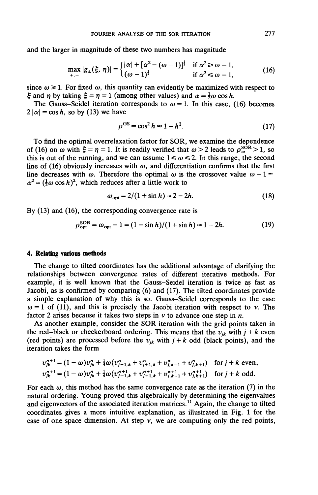and the larger in magnitude of these two numbers has magnitude

$$
\max_{+, -} |g_{\pm}(\xi, \eta)| = \begin{cases} |\alpha| + [\alpha^2 - (\omega - 1)]^{\frac{1}{2}} & \text{if } \alpha^2 \ge \omega - 1, \\ (\omega - 1)^{\frac{1}{2}} & \text{if } \alpha^2 \le \omega - 1, \end{cases}
$$
(16)

since  $\omega \ge 1$ . For fixed  $\omega$ , this quantity can evidently be maximized with respect to  $\zeta$  and  $\eta$  by taking  $\xi = \eta = 1$  (among other values) and  $\alpha = \frac{1}{2}\omega \cos h$ .

The Gauss-Seidel iteration corresponds to  $\omega = 1$ . In this case, (16) becomes  $2 |\alpha| = \cos h$ , so by (13) we have

$$
\rho^{\rm GS} = \cos^2 h \approx 1 - h^2. \tag{17}
$$

To find the optimal overrelaxation factor for SOR, we examine the dependence of (16) on  $\omega$  with  $\xi = \eta = 1$ . It is readily verified that  $\omega > 2$  leads to  $\rho_{\omega}^{\text{SOR}} > 1$ , so this is out of the running, and we can assume  $1 \le \omega \le 2$ . In this range, the second line of (16) obviously increases with  $\omega$ , and differentiation confirms that the first line decreases with  $\omega$ . Therefore the optimal  $\omega$  is the crossover value  $\omega - 1 =$  $\alpha^2 = (\frac{1}{2}\omega \cos h)^2$ , which reduces after a little work to

$$
\omega_{\rm opt} = 2/(1+\sin h) \approx 2-2h. \tag{18}
$$

By (13) and (16), the corresponding convergence rate is

$$
\rho_{\rm opt}^{\rm SOR} = \omega_{\rm opt} - 1 = (1 - \sin h)/(1 + \sin h) \approx 1 - 2h. \tag{19}
$$

### **4. Relating various methods**

The change to tilted coordinates has the additional advantage of clarifying the relationships between convergence rates of different iterative methods. For example, it is well known that the Gauss-Seidel iteration is twice as fast as Jacobi, as is confirmed by comparing (6) and (17). The tilted coordinates provide a simple explanation of why this is so. Gauss-Seidel corresponds to the case  $\omega = 1$  of (11), and this is precisely the Jacobi iteration with respect to v. The factor 2 arises because it takes two steps in  $\nu$  to advance one step in  $n$ .

As another example, consider the SOR iteration with the grid points taken in the red-black or checkerboard ordering. This means that the  $v_{jk}$  with  $j + k$  even (red points) are processed before the  $v_{jk}$  with  $j + k$  odd (black points), and the iteration takes the form

$$
v_{jk}^{n+1} = (1 - \omega)v_{jk}^n + \frac{1}{4}\omega(v_{j-1,k}^n + v_{j+1,k}^n + v_{j,k-1}^n + v_{j,k+1}^n) \text{ for } j + k \text{ even},
$$
  
\n
$$
v_{jk}^{n+1} = (1 - \omega)v_{jk}^n + \frac{1}{4}\omega(v_{j-1,k}^{n+1} + v_{j+1,k}^{n+1} + v_{j,k+1}^{n+1} + v_{j,k+1}^{n+1}) \text{ for } j + k \text{ odd}.
$$

For each  $\omega$ , this method has the same convergence rate as the iteration (7) in the natural ordering. Young proved this algebraically by determining the eigenvalues and eigenvectors of the associated iteration matrices.<sup>11</sup> Again, the change to tilted coordinates gives a more intuitive explanation, as illustrated in Fig. 1 for the case of one space dimension. At step  $v$ , we are computing only the red points,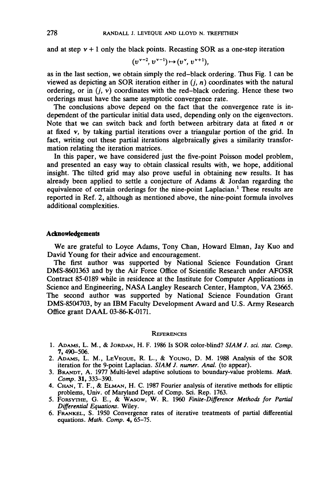and at step  $v + 1$  only the black points. Recasting SOR as a one-step iteration

$$
(v^{v-2}, v^{v-1}) \mapsto (v^{v}, v^{v+1}),
$$

as in the last section, we obtain simply the red-black ordering. Thus Fig. 1 can be viewed as depicting an SOR iteration either in  $(i, n)$  coordinates with the natural ordering, or in  $(i, v)$  coordinates with the red-black ordering. Hence these two orderings must have the same asymptotic convergence rate.

The conclusions above depend on the fact that the convergence rate is independent of the particular initial data used, depending only on the eigenvectors. Note that we can switch back and forth between arbitrary data at fixed *n* or at fixed  $v$ , by taking partial iterations over a triangular portion of the grid. In fact, writing out these partial iterations algebraically gives a similarity transformation relating the iteration matrices.

In this paper, we have considered just the five-point Poisson model problem, and presented an easy way to obtain classical results with, we hope, additional insight. The tilted grid may also prove useful in obtaining new results. It has already been applied to settle a conjecture of Adams & Jordan regarding the equivalence of certain orderings for the nine-point Laplacian.<sup>1</sup> These results are reported in Ref. 2, although as mentioned above, the nine-point formula involves additional complexities.

## **Acknowledgements**

We are grateful to Loyce Adams, Tony Chan, Howard Elman, Jay Kuo and David Young for their advice and encouragement.

The first author was supported by National Science Foundation Grant DMS-8601363 and by the Air Force Office of Scientific Research under AFOSR Contract 85-0189 while in residence at the Institute for Computer Applications in Science and Engineering, NASA Langley Research Center, Hampton, VA 23665. The second author was supported by National Science Foundation Grant DMS-8504703, by an IBM Faculty Development Award and U.S. Army Research Office grant DAAL 03-86-K-O171.

#### **REFERENCES**

- 1. ADAMS, L. M., & JORDAN, H. F. 1986 Is SOR color-blind? *SIAMJ. sci. stat. Comp.* 7, 490-506.
- 2. ADAMS, L. M., LEVEOUE, R. L., & YOUNG, D. M. 1988 Analysis of the SOR iteration for the 9-point Laplacian. *SLAM J. numer. Anal,* (to appear).
- 3. BRANDT, A. 1977 Multi-level adaptive solutions to boundary-value problems. *Math. Comp.* 31, 333-390.
- 4. CHAN, T. F., & ELMAN, H. C. 1987 Fourier analysis of iterative methods for elliptic problems, Univ. of Maryland Dept. of Comp. Sci. Rep. 1763.
- 5. FORSVTHE, G. E., & WASOW, W. R. 1960 *Finite-Difference Methods for Partial Differential Equations.* Wiley.
- 6. FRANKEL, S. 1950 Convergence rates of iterative treatments of partial differential equations. *Math. Comp.* 4, 65-75.